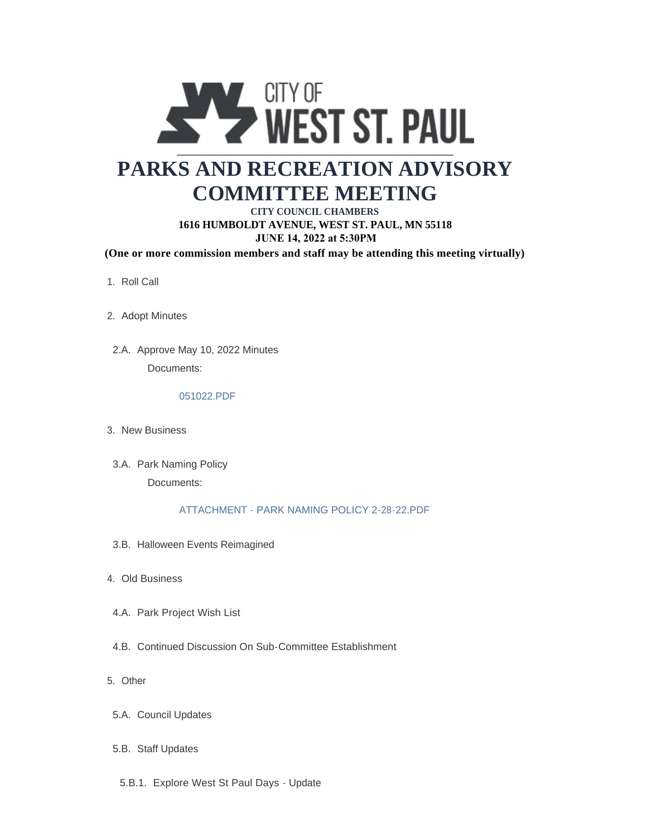

# **PARKS AND RECREATION ADVISORY COMMITTEE MEETING**

### **CITY COUNCIL CHAMBERS 1616 HUMBOLDT AVENUE, WEST ST. PAUL, MN 55118 JUNE 14, 2022 at 5:30PM**

**(One or more commission members and staff may be attending this meeting virtually)**

- 1. Roll Call
- 2. Adopt Minutes
- 2.A. Approve May 10, 2022 Minutes Documents:

#### 051022.PDF

- 3. New Business
- 3.A. Park Naming Policy Documents:

#### ATTACHMENT - PARK NAMING POLICY 2-28-22.PDF

- 3.B. Halloween Events Reimagined
- Old Business 4.
- 4.A. Park Project Wish List
- 4.B. Continued Discussion On Sub-Committee Establishment
- Other 5.
- 5.A. Council Updates
- 5.B. Staff Updates
- 5.B.1. Explore West St Paul Days Update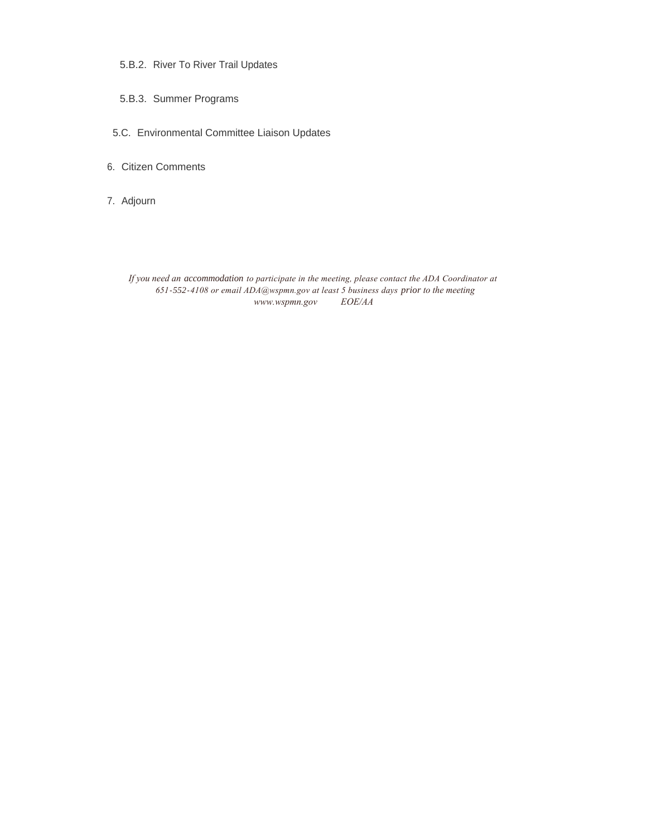- 5.B.2. River To River Trail Updates
- 5.B.3. Summer Programs
- Environmental Committee Liaison Updates 5.C.
- 6. Citizen Comments
- 7. Adjourn

*If you need an accommodation to participate in the meeting, please contact the ADA Coordinator at 651-552-4108 or email ADA@wspmn.gov at least 5 business days prior to the meeting www.wspmn.gov EOE/AA*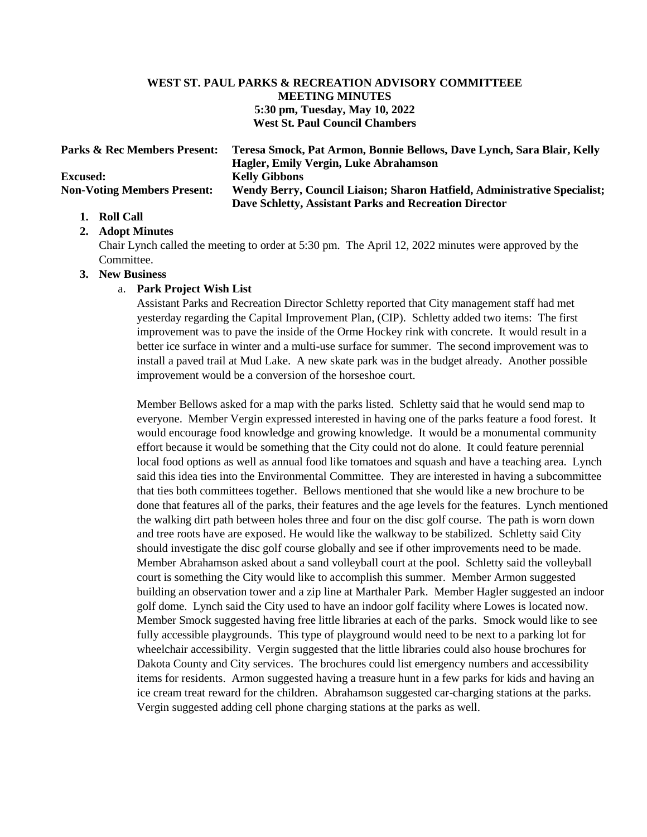#### **WEST ST. PAUL PARKS & RECREATION ADVISORY COMMITTEEE MEETING MINUTES 5:30 pm, Tuesday, May 10, 2022 West St. Paul Council Chambers**

| <b>Parks &amp; Rec Members Present:</b> | Teresa Smock, Pat Armon, Bonnie Bellows, Dave Lynch, Sara Blair, Kelly    |
|-----------------------------------------|---------------------------------------------------------------------------|
|                                         | Hagler, Emily Vergin, Luke Abrahamson                                     |
| <b>Excused:</b>                         | <b>Kelly Gibbons</b>                                                      |
| <b>Non-Voting Members Present:</b>      | Wendy Berry, Council Liaison; Sharon Hatfield, Administrative Specialist; |
|                                         | Dave Schletty, Assistant Parks and Recreation Director                    |

#### **1. Roll Call**

#### **2. Adopt Minutes**

Chair Lynch called the meeting to order at 5:30 pm. The April 12, 2022 minutes were approved by the Committee.

#### **3. New Business**

#### a. **Park Project Wish List**

Assistant Parks and Recreation Director Schletty reported that City management staff had met yesterday regarding the Capital Improvement Plan, (CIP). Schletty added two items: The first improvement was to pave the inside of the Orme Hockey rink with concrete. It would result in a better ice surface in winter and a multi-use surface for summer. The second improvement was to install a paved trail at Mud Lake. A new skate park was in the budget already. Another possible improvement would be a conversion of the horseshoe court.

Member Bellows asked for a map with the parks listed. Schletty said that he would send map to everyone. Member Vergin expressed interested in having one of the parks feature a food forest. It would encourage food knowledge and growing knowledge. It would be a monumental community effort because it would be something that the City could not do alone. It could feature perennial local food options as well as annual food like tomatoes and squash and have a teaching area. Lynch said this idea ties into the Environmental Committee. They are interested in having a subcommittee that ties both committees together. Bellows mentioned that she would like a new brochure to be done that features all of the parks, their features and the age levels for the features. Lynch mentioned the walking dirt path between holes three and four on the disc golf course. The path is worn down and tree roots have are exposed. He would like the walkway to be stabilized. Schletty said City should investigate the disc golf course globally and see if other improvements need to be made. Member Abrahamson asked about a sand volleyball court at the pool. Schletty said the volleyball court is something the City would like to accomplish this summer. Member Armon suggested building an observation tower and a zip line at Marthaler Park. Member Hagler suggested an indoor golf dome. Lynch said the City used to have an indoor golf facility where Lowes is located now. Member Smock suggested having free little libraries at each of the parks. Smock would like to see fully accessible playgrounds. This type of playground would need to be next to a parking lot for wheelchair accessibility. Vergin suggested that the little libraries could also house brochures for Dakota County and City services. The brochures could list emergency numbers and accessibility items for residents. Armon suggested having a treasure hunt in a few parks for kids and having an ice cream treat reward for the children. Abrahamson suggested car-charging stations at the parks. Vergin suggested adding cell phone charging stations at the parks as well.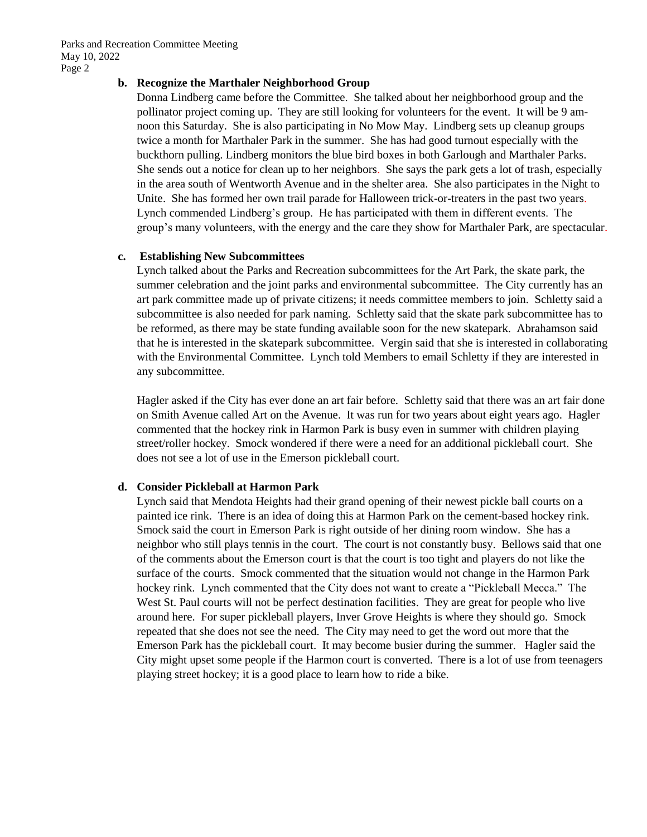Parks and Recreation Committee Meeting May 10, 2022 Page 2

#### **b. Recognize the Marthaler Neighborhood Group**

Donna Lindberg came before the Committee. She talked about her neighborhood group and the pollinator project coming up. They are still looking for volunteers for the event. It will be 9 amnoon this Saturday. She is also participating in No Mow May. Lindberg sets up cleanup groups twice a month for Marthaler Park in the summer. She has had good turnout especially with the buckthorn pulling. Lindberg monitors the blue bird boxes in both Garlough and Marthaler Parks. She sends out a notice for clean up to her neighbors. She says the park gets a lot of trash, especially in the area south of Wentworth Avenue and in the shelter area. She also participates in the Night to Unite. She has formed her own trail parade for Halloween trick-or-treaters in the past two years. Lynch commended Lindberg's group. He has participated with them in different events. The group's many volunteers, with the energy and the care they show for Marthaler Park, are spectacular.

#### **c. Establishing New Subcommittees**

Lynch talked about the Parks and Recreation subcommittees for the Art Park, the skate park, the summer celebration and the joint parks and environmental subcommittee. The City currently has an art park committee made up of private citizens; it needs committee members to join. Schletty said a subcommittee is also needed for park naming. Schletty said that the skate park subcommittee has to be reformed, as there may be state funding available soon for the new skatepark. Abrahamson said that he is interested in the skatepark subcommittee. Vergin said that she is interested in collaborating with the Environmental Committee. Lynch told Members to email Schletty if they are interested in any subcommittee.

Hagler asked if the City has ever done an art fair before. Schletty said that there was an art fair done on Smith Avenue called Art on the Avenue. It was run for two years about eight years ago. Hagler commented that the hockey rink in Harmon Park is busy even in summer with children playing street/roller hockey. Smock wondered if there were a need for an additional pickleball court. She does not see a lot of use in the Emerson pickleball court.

#### **d. Consider Pickleball at Harmon Park**

Lynch said that Mendota Heights had their grand opening of their newest pickle ball courts on a painted ice rink. There is an idea of doing this at Harmon Park on the cement-based hockey rink. Smock said the court in Emerson Park is right outside of her dining room window. She has a neighbor who still plays tennis in the court. The court is not constantly busy. Bellows said that one of the comments about the Emerson court is that the court is too tight and players do not like the surface of the courts. Smock commented that the situation would not change in the Harmon Park hockey rink. Lynch commented that the City does not want to create a "Pickleball Mecca." The West St. Paul courts will not be perfect destination facilities. They are great for people who live around here. For super pickleball players, Inver Grove Heights is where they should go. Smock repeated that she does not see the need. The City may need to get the word out more that the Emerson Park has the pickleball court. It may become busier during the summer. Hagler said the City might upset some people if the Harmon court is converted. There is a lot of use from teenagers playing street hockey; it is a good place to learn how to ride a bike.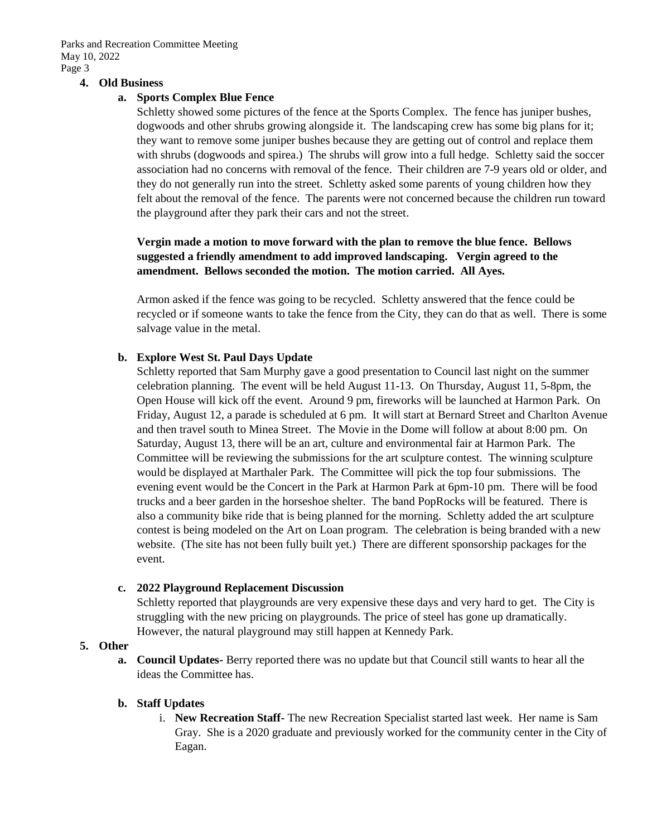Parks and Recreation Committee Meeting May 10, 2022 Page 3

#### **4. Old Business**

#### **a. Sports Complex Blue Fence**

Schletty showed some pictures of the fence at the Sports Complex. The fence has juniper bushes, dogwoods and other shrubs growing alongside it. The landscaping crew has some big plans for it; they want to remove some juniper bushes because they are getting out of control and replace them with shrubs (dogwoods and spirea.) The shrubs will grow into a full hedge. Schletty said the soccer association had no concerns with removal of the fence. Their children are 7-9 years old or older, and they do not generally run into the street. Schletty asked some parents of young children how they felt about the removal of the fence. The parents were not concerned because the children run toward the playground after they park their cars and not the street.

#### **Vergin made a motion to move forward with the plan to remove the blue fence. Bellows suggested a friendly amendment to add improved landscaping. Vergin agreed to the amendment. Bellows seconded the motion. The motion carried. All Ayes.**

Armon asked if the fence was going to be recycled. Schletty answered that the fence could be recycled or if someone wants to take the fence from the City, they can do that as well. There is some salvage value in the metal.

#### **b. Explore West St. Paul Days Update**

Schletty reported that Sam Murphy gave a good presentation to Council last night on the summer celebration planning. The event will be held August 11-13. On Thursday, August 11, 5-8pm, the Open House will kick off the event. Around 9 pm, fireworks will be launched at Harmon Park. On Friday, August 12, a parade is scheduled at 6 pm. It will start at Bernard Street and Charlton Avenue and then travel south to Minea Street. The Movie in the Dome will follow at about 8:00 pm. On Saturday, August 13, there will be an art, culture and environmental fair at Harmon Park. The Committee will be reviewing the submissions for the art sculpture contest. The winning sculpture would be displayed at Marthaler Park. The Committee will pick the top four submissions. The evening event would be the Concert in the Park at Harmon Park at 6pm-10 pm. There will be food trucks and a beer garden in the horseshoe shelter. The band PopRocks will be featured. There is also a community bike ride that is being planned for the morning. Schletty added the art sculpture contest is being modeled on the Art on Loan program. The celebration is being branded with a new website. (The site has not been fully built yet.) There are different sponsorship packages for the event.

#### **c. 2022 Playground Replacement Discussion**

Schletty reported that playgrounds are very expensive these days and very hard to get. The City is struggling with the new pricing on playgrounds. The price of steel has gone up dramatically. However, the natural playground may still happen at Kennedy Park.

#### **5. Other**

**a. Council Updates-** Berry reported there was no update but that Council still wants to hear all the ideas the Committee has.

#### **b. Staff Updates**

i. **New Recreation Staff-** The new Recreation Specialist started last week. Her name is Sam Gray. She is a 2020 graduate and previously worked for the community center in the City of Eagan.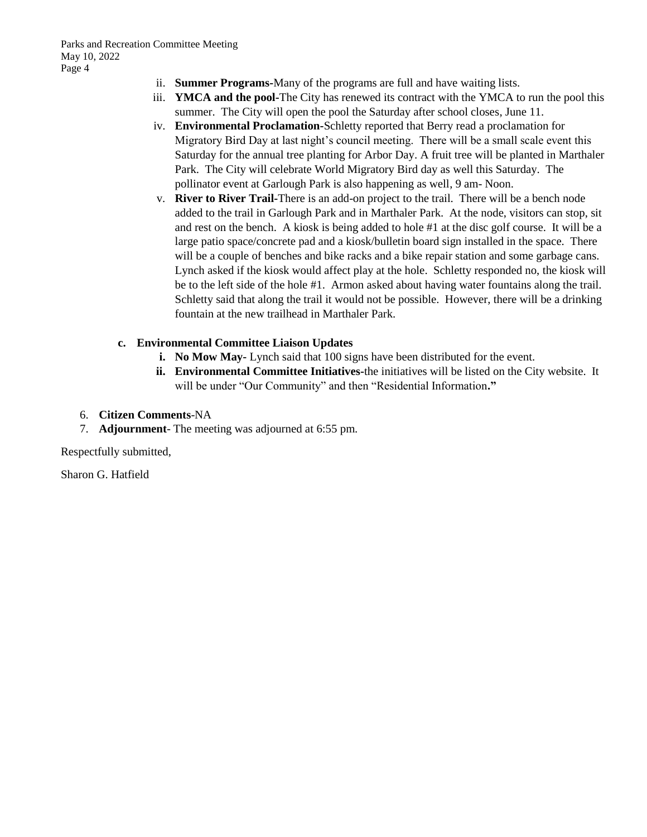- ii. **Summer Programs-**Many of the programs are full and have waiting lists.
- iii. **YMCA and the pool-**The City has renewed its contract with the YMCA to run the pool this summer. The City will open the pool the Saturday after school closes, June 11.
- iv. **Environmental Proclamation-**Schletty reported that Berry read a proclamation for Migratory Bird Day at last night's council meeting. There will be a small scale event this Saturday for the annual tree planting for Arbor Day. A fruit tree will be planted in Marthaler Park. The City will celebrate World Migratory Bird day as well this Saturday. The pollinator event at Garlough Park is also happening as well, 9 am- Noon.
- v. **River to River Trail-**There is an add-on project to the trail. There will be a bench node added to the trail in Garlough Park and in Marthaler Park. At the node, visitors can stop, sit and rest on the bench. A kiosk is being added to hole #1 at the disc golf course. It will be a large patio space/concrete pad and a kiosk/bulletin board sign installed in the space. There will be a couple of benches and bike racks and a bike repair station and some garbage cans. Lynch asked if the kiosk would affect play at the hole. Schletty responded no, the kiosk will be to the left side of the hole #1. Armon asked about having water fountains along the trail. Schletty said that along the trail it would not be possible. However, there will be a drinking fountain at the new trailhead in Marthaler Park.

#### **c. Environmental Committee Liaison Updates**

- **i. No Mow May-** Lynch said that 100 signs have been distributed for the event.
- **ii. Environmental Committee Initiatives-**the initiatives will be listed on the City website. It will be under "Our Community" and then "Residential Information**."**
- 6. **Citizen Comments**-NA
- 7. **Adjournment** The meeting was adjourned at 6:55 pm.

Respectfully submitted,

Sharon G. Hatfield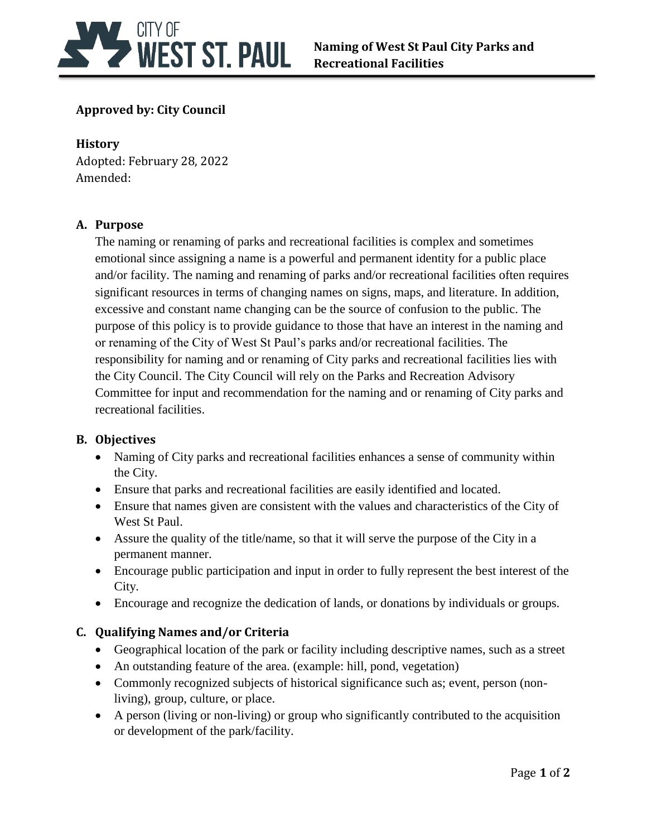

# **Approved by: City Council**

# **History**

Adopted: February 28, 2022 Amended:

# **A. Purpose**

The naming or renaming of parks and recreational facilities is complex and sometimes emotional since assigning a name is a powerful and permanent identity for a public place and/or facility. The naming and renaming of parks and/or recreational facilities often requires significant resources in terms of changing names on signs, maps, and literature. In addition, excessive and constant name changing can be the source of confusion to the public. The purpose of this policy is to provide guidance to those that have an interest in the naming and or renaming of the City of West St Paul's parks and/or recreational facilities. The responsibility for naming and or renaming of City parks and recreational facilities lies with the City Council. The City Council will rely on the Parks and Recreation Advisory Committee for input and recommendation for the naming and or renaming of City parks and recreational facilities.

# **B. Objectives**

- Naming of City parks and recreational facilities enhances a sense of community within the City.
- Ensure that parks and recreational facilities are easily identified and located.
- Ensure that names given are consistent with the values and characteristics of the City of West St Paul.
- Assure the quality of the title/name, so that it will serve the purpose of the City in a permanent manner.
- Encourage public participation and input in order to fully represent the best interest of the City.
- Encourage and recognize the dedication of lands, or donations by individuals or groups.

# **C. Qualifying Names and/or Criteria**

- Geographical location of the park or facility including descriptive names, such as a street
- An outstanding feature of the area. (example: hill, pond, vegetation)
- Commonly recognized subjects of historical significance such as; event, person (nonliving), group, culture, or place.
- A person (living or non-living) or group who significantly contributed to the acquisition or development of the park/facility.